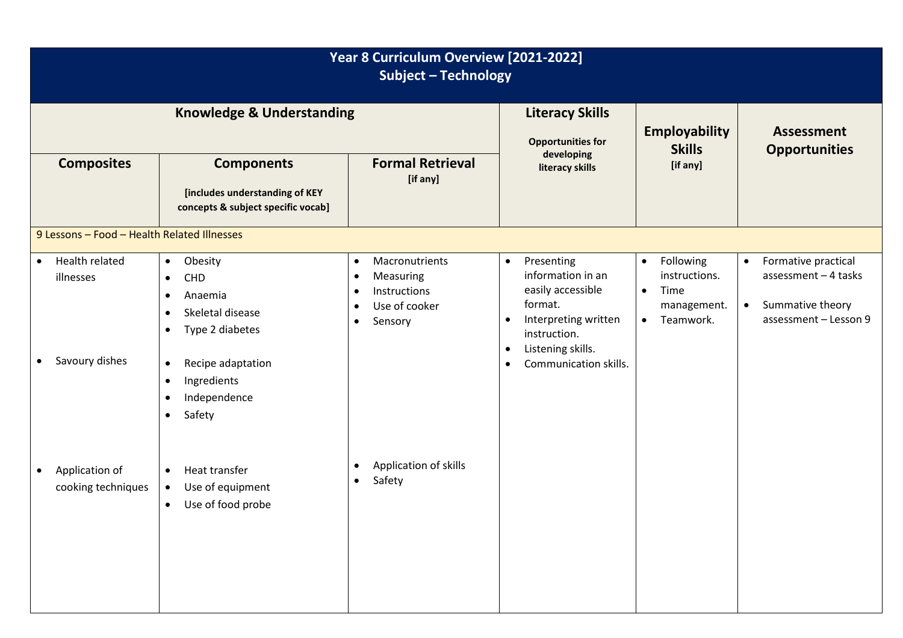| Year 8 Curriculum Overview [2021-2022]<br><b>Subject - Technology</b>   |                                                                                                                                                                                                                                                     |                                                                                                                                          |                                                                                                                                                                                                           |                                                                                                       |                                                                                                                     |  |  |  |
|-------------------------------------------------------------------------|-----------------------------------------------------------------------------------------------------------------------------------------------------------------------------------------------------------------------------------------------------|------------------------------------------------------------------------------------------------------------------------------------------|-----------------------------------------------------------------------------------------------------------------------------------------------------------------------------------------------------------|-------------------------------------------------------------------------------------------------------|---------------------------------------------------------------------------------------------------------------------|--|--|--|
| <b>Knowledge &amp; Understanding</b>                                    |                                                                                                                                                                                                                                                     |                                                                                                                                          | <b>Literacy Skills</b><br><b>Opportunities for</b>                                                                                                                                                        | <b>Employability</b><br><b>Skills</b>                                                                 | <b>Assessment</b><br><b>Opportunities</b>                                                                           |  |  |  |
| <b>Composites</b>                                                       | <b>Components</b><br>[includes understanding of KEY<br>concepts & subject specific vocab]                                                                                                                                                           | <b>Formal Retrieval</b><br>[if any]                                                                                                      | developing<br>literacy skills                                                                                                                                                                             | [if any]                                                                                              |                                                                                                                     |  |  |  |
| 9 Lessons - Food - Health Related Illnesses                             |                                                                                                                                                                                                                                                     |                                                                                                                                          |                                                                                                                                                                                                           |                                                                                                       |                                                                                                                     |  |  |  |
| Health related<br>$\bullet$<br>illnesses<br>Savoury dishes<br>$\bullet$ | Obesity<br>$\bullet$<br>CHD<br>$\bullet$<br>Anaemia<br>$\bullet$<br>Skeletal disease<br>$\bullet$<br>Type 2 diabetes<br>$\bullet$<br>Recipe adaptation<br>$\bullet$<br>Ingredients<br>$\bullet$<br>Independence<br>$\bullet$<br>Safety<br>$\bullet$ | Macronutrients<br>$\bullet$<br>Measuring<br>$\bullet$<br>Instructions<br>$\bullet$<br>Use of cooker<br>$\bullet$<br>Sensory<br>$\bullet$ | Presenting<br>$\bullet$<br>information in an<br>easily accessible<br>format.<br>Interpreting written<br>$\bullet$<br>instruction.<br>Listening skills.<br>$\bullet$<br>Communication skills.<br>$\bullet$ | Following<br>$\bullet$<br>instructions.<br>Time<br>$\bullet$<br>management.<br>Teamwork.<br>$\bullet$ | Formative practical<br>$\bullet$<br>assessment $-4$ tasks<br>Summative theory<br>$\bullet$<br>assessment - Lesson 9 |  |  |  |
| Application of<br>$\bullet$<br>cooking techniques                       | Heat transfer<br>$\bullet$<br>Use of equipment<br>$\bullet$<br>Use of food probe<br>$\bullet$                                                                                                                                                       | Application of skills<br>$\bullet$<br>Safety<br>$\bullet$                                                                                |                                                                                                                                                                                                           |                                                                                                       |                                                                                                                     |  |  |  |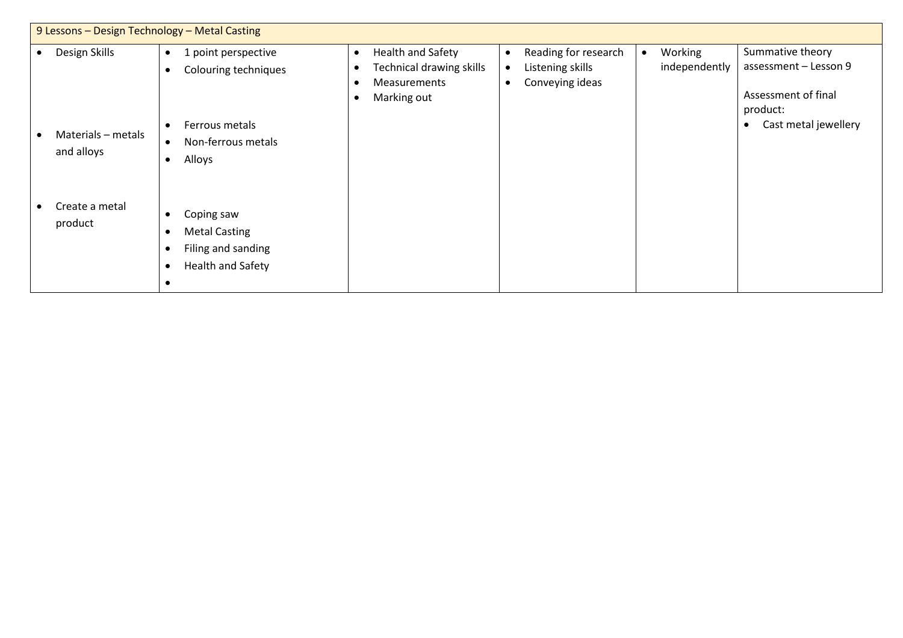| 9 Lessons - Design Technology - Metal Casting |                                                                                                   |                                                                                                                      |                                                                                         |                                                                              |  |  |  |
|-----------------------------------------------|---------------------------------------------------------------------------------------------------|----------------------------------------------------------------------------------------------------------------------|-----------------------------------------------------------------------------------------|------------------------------------------------------------------------------|--|--|--|
| Design Skills                                 | 1 point perspective<br>$\bullet$<br>Colouring techniques<br>$\bullet$                             | Health and Safety<br>$\bullet$<br><b>Technical drawing skills</b><br><b>Measurements</b><br>Marking out<br>$\bullet$ | Reading for research<br>Working<br>independently<br>Listening skills<br>Conveying ideas | Summative theory<br>assessment - Lesson 9<br>Assessment of final<br>product: |  |  |  |
| Materials - metals<br>and alloys              | Ferrous metals<br>$\bullet$<br>Non-ferrous metals<br>$\bullet$<br>Alloys<br>$\bullet$             |                                                                                                                      |                                                                                         | Cast metal jewellery                                                         |  |  |  |
| Create a metal<br>product                     | Coping saw<br><b>Metal Casting</b><br>Filing and sanding<br><b>Health and Safety</b><br>$\bullet$ |                                                                                                                      |                                                                                         |                                                                              |  |  |  |